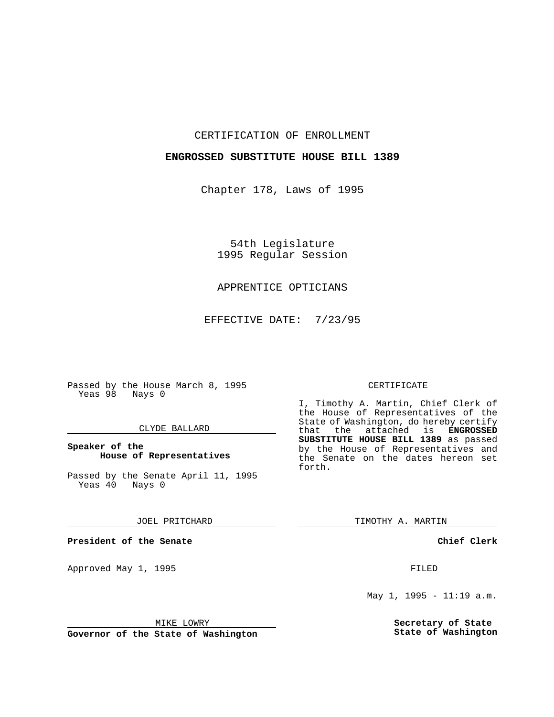CERTIFICATION OF ENROLLMENT

## **ENGROSSED SUBSTITUTE HOUSE BILL 1389**

Chapter 178, Laws of 1995

54th Legislature 1995 Regular Session

## APPRENTICE OPTICIANS

EFFECTIVE DATE: 7/23/95

Passed by the House March 8, 1995 Yeas 98 Nays 0

## CLYDE BALLARD

## **Speaker of the House of Representatives**

Passed by the Senate April 11, 1995<br>Yeas 40 Nays 0 Yeas 40

JOEL PRITCHARD

**President of the Senate**

Approved May 1, 1995 **FILED** 

### MIKE LOWRY

**Governor of the State of Washington**

### CERTIFICATE

I, Timothy A. Martin, Chief Clerk of the House of Representatives of the State of Washington, do hereby certify<br>that the attached is **ENGROSSED** the attached is **ENGROSSED SUBSTITUTE HOUSE BILL 1389** as passed by the House of Representatives and the Senate on the dates hereon set forth.

TIMOTHY A. MARTIN

**Chief Clerk**

May 1, 1995 - 11:19 a.m.

**Secretary of State State of Washington**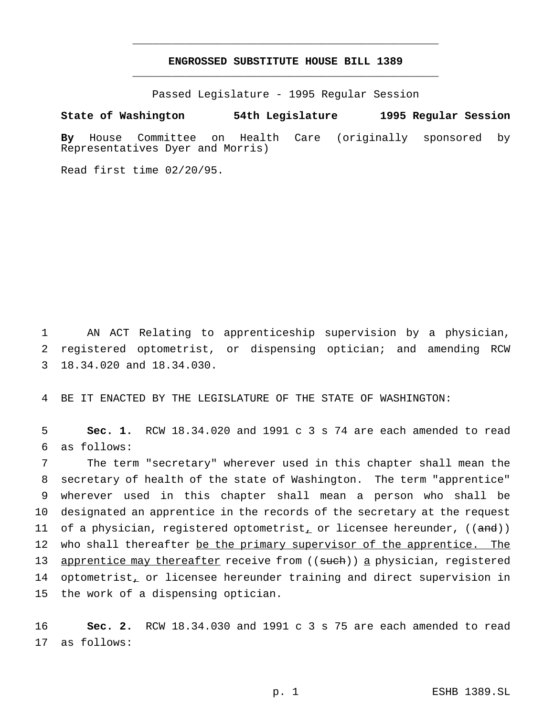# **ENGROSSED SUBSTITUTE HOUSE BILL 1389** \_\_\_\_\_\_\_\_\_\_\_\_\_\_\_\_\_\_\_\_\_\_\_\_\_\_\_\_\_\_\_\_\_\_\_\_\_\_\_\_\_\_\_\_\_\_\_

\_\_\_\_\_\_\_\_\_\_\_\_\_\_\_\_\_\_\_\_\_\_\_\_\_\_\_\_\_\_\_\_\_\_\_\_\_\_\_\_\_\_\_\_\_\_\_

Passed Legislature - 1995 Regular Session

#### **State of Washington 54th Legislature 1995 Regular Session**

**By** House Committee on Health Care (originally sponsored by Representatives Dyer and Morris)

Read first time 02/20/95.

1 AN ACT Relating to apprenticeship supervision by a physician, 2 registered optometrist, or dispensing optician; and amending RCW 3 18.34.020 and 18.34.030.

4 BE IT ENACTED BY THE LEGISLATURE OF THE STATE OF WASHINGTON:

5 **Sec. 1.** RCW 18.34.020 and 1991 c 3 s 74 are each amended to read 6 as follows:

7 The term "secretary" wherever used in this chapter shall mean the 8 secretary of health of the state of Washington. The term "apprentice" 9 wherever used in this chapter shall mean a person who shall be 10 designated an apprentice in the records of the secretary at the request 11 of a physician, registered optometrist, or licensee hereunder,  $((and))$ 12 who shall thereafter be the primary supervisor of the apprentice. The 13 apprentice may thereafter receive from ((such)) a physician, registered 14 optometrist, or licensee hereunder training and direct supervision in 15 the work of a dispensing optician.

16 **Sec. 2.** RCW 18.34.030 and 1991 c 3 s 75 are each amended to read 17 as follows: